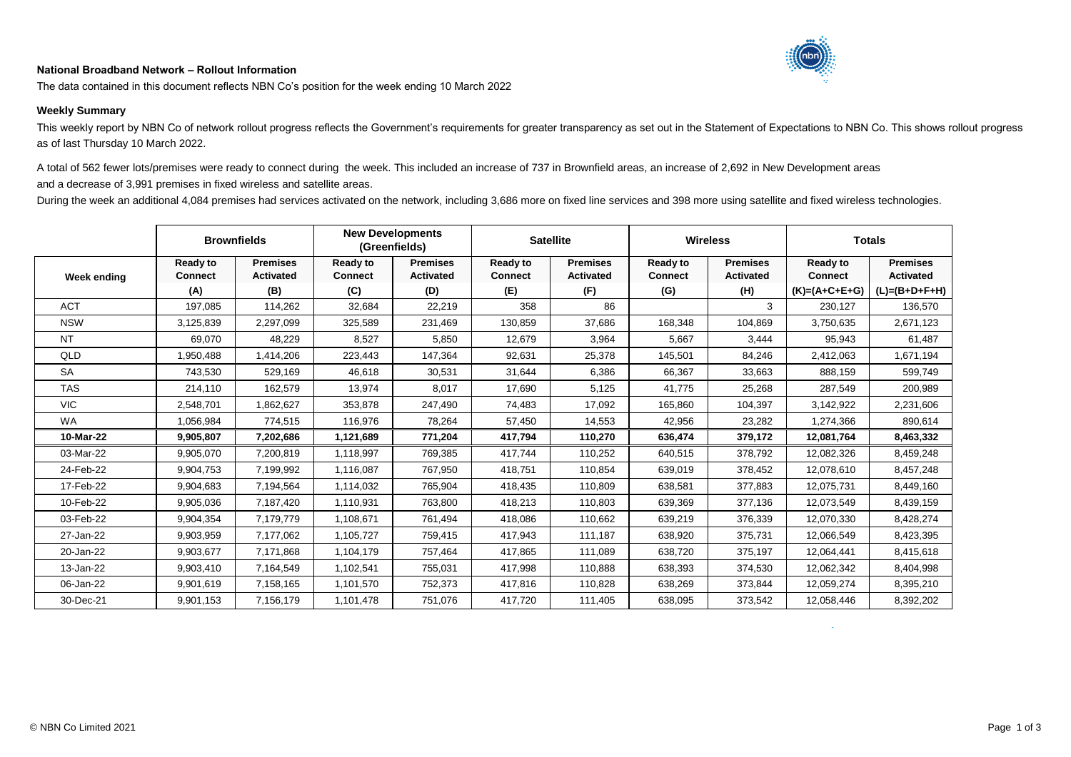## **National Broadband Network – Rollout Information**



The data contained in this document reflects NBN Co's position for the week ending 10 March 2022

## **Weekly Summary**

This weekly report by NBN Co of network rollout progress reflects the Government's requirements for greater transparency as set out in the Statement of Expectations to NBN Co. This shows rollout progress as of last Thursday 10 March 2022.

A total of 562 fewer lots/premises were ready to connect during the week. This included an increase of 737 in Brownfield areas, an increase of 2,692 in New Development areas and a decrease of 3,991 premises in fixed wireless and satellite areas.

During the week an additional 4,084 premises had services activated on the network, including 3,686 more on fixed line services and 398 more using satellite and fixed wireless technologies.

|             | <b>Brownfields</b>                       |                                            | <b>New Developments</b><br>(Greenfields) |                                            | <b>Satellite</b>                         |                                            | <b>Wireless</b>                          |                                            | <b>Totals</b>                                        |                                                        |
|-------------|------------------------------------------|--------------------------------------------|------------------------------------------|--------------------------------------------|------------------------------------------|--------------------------------------------|------------------------------------------|--------------------------------------------|------------------------------------------------------|--------------------------------------------------------|
| Week ending | <b>Ready to</b><br><b>Connect</b><br>(A) | <b>Premises</b><br><b>Activated</b><br>(B) | <b>Ready to</b><br><b>Connect</b><br>(C) | <b>Premises</b><br><b>Activated</b><br>(D) | <b>Ready to</b><br><b>Connect</b><br>(E) | <b>Premises</b><br><b>Activated</b><br>(F) | <b>Ready to</b><br><b>Connect</b><br>(G) | <b>Premises</b><br><b>Activated</b><br>(H) | <b>Ready to</b><br><b>Connect</b><br>$(K)=(A+C+E+G)$ | <b>Premises</b><br><b>Activated</b><br>$(L)=(B+D+F+H)$ |
| <b>ACT</b>  | 197,085                                  | 114,262                                    | 32,684                                   | 22,219                                     | 358                                      | 86                                         |                                          | 3                                          | 230,127                                              | 136,570                                                |
| <b>NSW</b>  | 3,125,839                                | 2,297,099                                  | 325,589                                  | 231,469                                    | 130,859                                  | 37,686                                     | 168,348                                  | 104,869                                    | 3,750,635                                            | 2,671,123                                              |
| <b>NT</b>   | 69,070                                   | 48,229                                     | 8,527                                    | 5,850                                      | 12,679                                   | 3,964                                      | 5,667                                    | 3,444                                      | 95,943                                               | 61,487                                                 |
| QLD         | 1,950,488                                | 1,414,206                                  | 223,443                                  | 147,364                                    | 92,631                                   | 25,378                                     | 145,501                                  | 84,246                                     | 2,412,063                                            | 1,671,194                                              |
| <b>SA</b>   | 743,530                                  | 529,169                                    | 46,618                                   | 30,531                                     | 31,644                                   | 6,386                                      | 66,367                                   | 33,663                                     | 888,159                                              | 599,749                                                |
| <b>TAS</b>  | 214,110                                  | 162,579                                    | 13,974                                   | 8,017                                      | 17,690                                   | 5,125                                      | 41,775                                   | 25,268                                     | 287,549                                              | 200,989                                                |
| <b>VIC</b>  | 2,548,701                                | 862,627                                    | 353,878                                  | 247,490                                    | 74,483                                   | 17,092                                     | 165,860                                  | 104,397                                    | 3,142,922                                            | 2,231,606                                              |
| <b>WA</b>   | 1,056,984                                | 774,515                                    | 116,976                                  | 78,264                                     | 57,450                                   | 14,553                                     | 42,956                                   | 23,282                                     | 1,274,366                                            | 890,614                                                |
| 10-Mar-22   | 9,905,807                                | 7,202,686                                  | 1,121,689                                | 771,204                                    | 417,794                                  | 110,270                                    | 636,474                                  | 379,172                                    | 12,081,764                                           | 8,463,332                                              |
| 03-Mar-22   | 9,905,070                                | 7,200,819                                  | 1,118,997                                | 769,385                                    | 417,744                                  | 110,252                                    | 640,515                                  | 378,792                                    | 12,082,326                                           | 8,459,248                                              |
| 24-Feb-22   | 9,904,753                                | 7,199,992                                  | 1,116,087                                | 767,950                                    | 418,751                                  | 110,854                                    | 639,019                                  | 378,452                                    | 12,078,610                                           | 8,457,248                                              |
| 17-Feb-22   | 9,904,683                                | 7,194,564                                  | 1,114,032                                | 765,904                                    | 418,435                                  | 110,809                                    | 638,581                                  | 377,883                                    | 12,075,731                                           | 8,449,160                                              |
| 10-Feb-22   | 9,905,036                                | 7,187,420                                  | 1,110,931                                | 763,800                                    | 418,213                                  | 110,803                                    | 639,369                                  | 377,136                                    | 12,073,549                                           | 8,439,159                                              |
| 03-Feb-22   | 9,904,354                                | 7,179,779                                  | 1,108,671                                | 761,494                                    | 418,086                                  | 110,662                                    | 639,219                                  | 376,339                                    | 12,070,330                                           | 8,428,274                                              |
| 27-Jan-22   | 9,903,959                                | 7,177,062                                  | 1,105,727                                | 759,415                                    | 417,943                                  | 111,187                                    | 638,920                                  | 375,731                                    | 12,066,549                                           | 8,423,395                                              |
| 20-Jan-22   | 9,903,677                                | 7,171,868                                  | 1,104,179                                | 757,464                                    | 417,865                                  | 111,089                                    | 638,720                                  | 375,197                                    | 12,064,441                                           | 8,415,618                                              |
| 13-Jan-22   | 9,903,410                                | 7,164,549                                  | 1,102,541                                | 755,031                                    | 417,998                                  | 110,888                                    | 638,393                                  | 374,530                                    | 12,062,342                                           | 8,404,998                                              |
| 06-Jan-22   | 9,901,619                                | 7,158,165                                  | 1,101,570                                | 752,373                                    | 417,816                                  | 110,828                                    | 638,269                                  | 373,844                                    | 12,059,274                                           | 8,395,210                                              |
| 30-Dec-21   | 9,901,153                                | 7,156,179                                  | 1,101,478                                | 751,076                                    | 417,720                                  | 111,405                                    | 638,095                                  | 373,542                                    | 12,058,446                                           | 8,392,202                                              |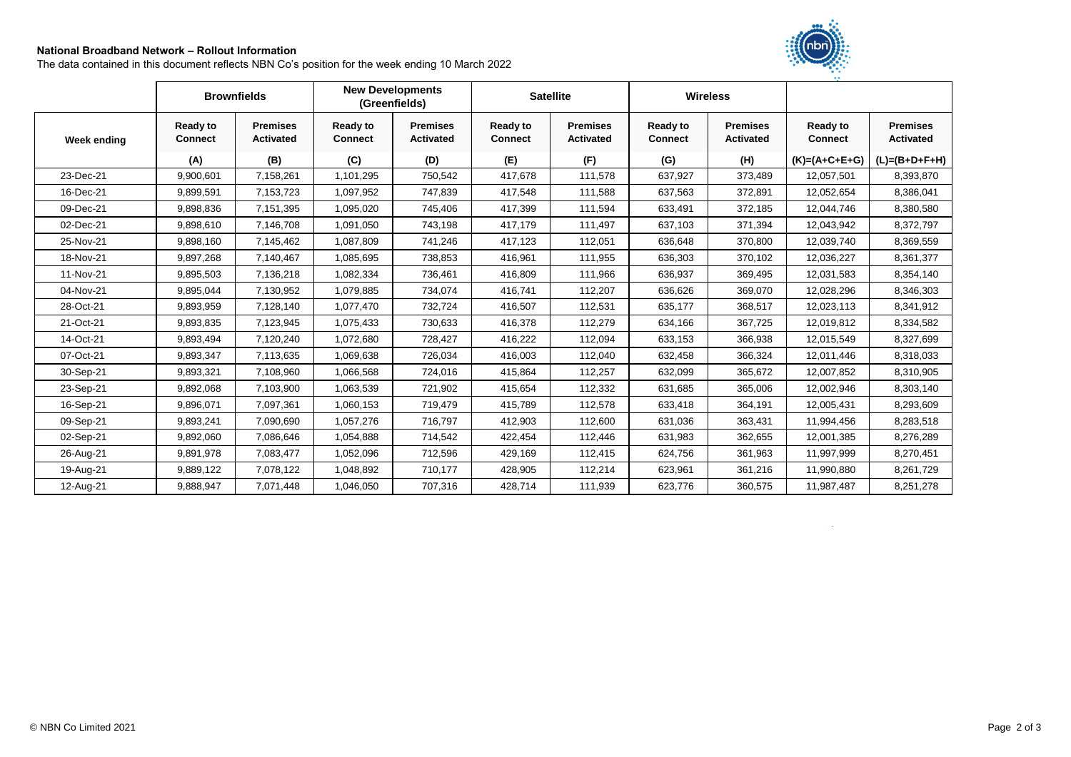## **National Broadband Network – Rollout Information**

The data contained in this document reflects NBN Co's position for the week ending 10 March 2022



|             | <b>Brownfields</b>                |                                     | <b>New Developments</b>           | (Greenfields)                       |                                   | <b>Satellite</b>                    |                                   | <b>Wireless</b>                     |                            |                                     |
|-------------|-----------------------------------|-------------------------------------|-----------------------------------|-------------------------------------|-----------------------------------|-------------------------------------|-----------------------------------|-------------------------------------|----------------------------|-------------------------------------|
| Week ending | <b>Ready to</b><br><b>Connect</b> | <b>Premises</b><br><b>Activated</b> | <b>Ready to</b><br><b>Connect</b> | <b>Premises</b><br><b>Activated</b> | <b>Ready to</b><br><b>Connect</b> | <b>Premises</b><br><b>Activated</b> | <b>Ready to</b><br><b>Connect</b> | <b>Premises</b><br><b>Activated</b> | Ready to<br><b>Connect</b> | <b>Premises</b><br><b>Activated</b> |
|             | (A)                               | (B)                                 | (C)                               | (D)                                 | (E)                               | (F)                                 | (G)                               | (H)                                 | $(K)=(A+C+E+G)$            | $(L)=(B+D+F+H)$                     |
| 23-Dec-21   | 9,900,601                         | 7,158,261                           | 1,101,295                         | 750,542                             | 417,678                           | 111,578                             | 637,927                           | 373,489                             | 12,057,501                 | 8,393,870                           |
| 16-Dec-21   | 9,899,591                         | 7,153,723                           | 1,097,952                         | 747,839                             | 417,548                           | 111,588                             | 637,563                           | 372,891                             | 12,052,654                 | 8,386,041                           |
| 09-Dec-21   | 9,898,836                         | 7,151,395                           | 1,095,020                         | 745,406                             | 417,399                           | 111,594                             | 633,491                           | 372,185                             | 12,044,746                 | 8,380,580                           |
| 02-Dec-21   | 9,898,610                         | 7,146,708                           | 1,091,050                         | 743,198                             | 417,179                           | 111,497                             | 637,103                           | 371,394                             | 12,043,942                 | 8,372,797                           |
| 25-Nov-21   | 9,898,160                         | 7,145,462                           | 1,087,809                         | 741,246                             | 417,123                           | 112,051                             | 636,648                           | 370,800                             | 12,039,740                 | 8,369,559                           |
| 18-Nov-21   | 9,897,268                         | 7,140,467                           | 1,085,695                         | 738,853                             | 416,961                           | 111,955                             | 636,303                           | 370,102                             | 12,036,227                 | 8,361,377                           |
| 11-Nov-21   | 9,895,503                         | 7,136,218                           | 1,082,334                         | 736,461                             | 416,809                           | 111,966                             | 636,937                           | 369,495                             | 12,031,583                 | 8,354,140                           |
| 04-Nov-21   | 9,895,044                         | 7,130,952                           | 1,079,885                         | 734,074                             | 416,741                           | 112,207                             | 636,626                           | 369,070                             | 12,028,296                 | 8,346,303                           |
| 28-Oct-21   | 9,893,959                         | 7,128,140                           | 1,077,470                         | 732,724                             | 416,507                           | 112,531                             | 635,177                           | 368,517                             | 12,023,113                 | 8,341,912                           |
| 21-Oct-21   | 9,893,835                         | 7,123,945                           | 1,075,433                         | 730,633                             | 416,378                           | 112,279                             | 634,166                           | 367,725                             | 12,019,812                 | 8,334,582                           |
| 14-Oct-21   | 9,893,494                         | 7,120,240                           | 1,072,680                         | 728,427                             | 416,222                           | 112,094                             | 633,153                           | 366,938                             | 12,015,549                 | 8,327,699                           |
| 07-Oct-21   | 9,893,347                         | 7,113,635                           | 1,069,638                         | 726,034                             | 416,003                           | 112,040                             | 632,458                           | 366,324                             | 12,011,446                 | 8,318,033                           |
| 30-Sep-21   | 9,893,321                         | 7,108,960                           | 1,066,568                         | 724,016                             | 415,864                           | 112,257                             | 632,099                           | 365,672                             | 12,007,852                 | 8,310,905                           |
| 23-Sep-21   | 9,892,068                         | 7,103,900                           | 1,063,539                         | 721,902                             | 415,654                           | 112,332                             | 631,685                           | 365,006                             | 12,002,946                 | 8,303,140                           |
| 16-Sep-21   | 9,896,071                         | 7,097,361                           | 1,060,153                         | 719,479                             | 415,789                           | 112,578                             | 633,418                           | 364,191                             | 12,005,431                 | 8,293,609                           |
| 09-Sep-21   | 9,893,241                         | 7,090,690                           | 1,057,276                         | 716,797                             | 412,903                           | 112,600                             | 631,036                           | 363,431                             | 11,994,456                 | 8,283,518                           |
| 02-Sep-21   | 9,892,060                         | 7,086,646                           | 1,054,888                         | 714,542                             | 422,454                           | 112,446                             | 631,983                           | 362,655                             | 12,001,385                 | 8,276,289                           |
| 26-Aug-21   | 9,891,978                         | 7,083,477                           | 1,052,096                         | 712,596                             | 429,169                           | 112,415                             | 624,756                           | 361,963                             | 11,997,999                 | 8,270,451                           |
| 19-Aug-21   | 9,889,122                         | 7,078,122                           | 1,048,892                         | 710,177                             | 428,905                           | 112,214                             | 623,961                           | 361,216                             | 11,990,880                 | 8,261,729                           |
| 12-Aug-21   | 9,888,947                         | 7,071,448                           | 1,046,050                         | 707,316                             | 428,714                           | 111,939                             | 623,776                           | 360,575                             | 11,987,487                 | 8,251,278                           |